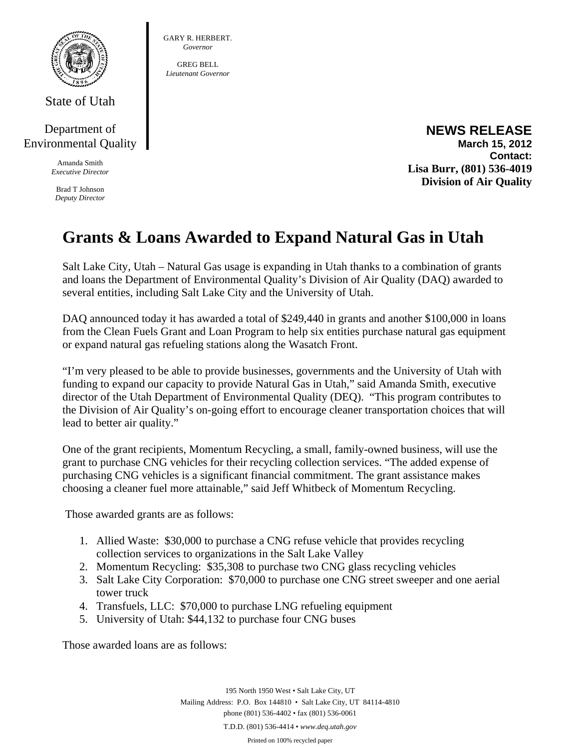

State of Utah

## Department of Environmental Quality

Amanda Smith *Executive Director* 

Brad T Johnson *Deputy Director*  GARY R. HERBERT. *Governor* 

GREG BELL *Lieutenant Governor* 

## **NEWS RELEASE March 15, 2012 Contact: Lisa Burr, (801) 536-4019 Division of Air Quality**

## **Grants & Loans Awarded to Expand Natural Gas in Utah**

Salt Lake City, Utah – Natural Gas usage is expanding in Utah thanks to a combination of grants and loans the Department of Environmental Quality's Division of Air Quality (DAQ) awarded to several entities, including Salt Lake City and the University of Utah.

DAQ announced today it has awarded a total of \$249,440 in grants and another \$100,000 in loans from the Clean Fuels Grant and Loan Program to help six entities purchase natural gas equipment or expand natural gas refueling stations along the Wasatch Front.

"I'm very pleased to be able to provide businesses, governments and the University of Utah with funding to expand our capacity to provide Natural Gas in Utah," said Amanda Smith, executive director of the Utah Department of Environmental Quality (DEQ). "This program contributes to the Division of Air Quality's on-going effort to encourage cleaner transportation choices that will lead to better air quality."

One of the grant recipients, Momentum Recycling, a small, family-owned business, will use the grant to purchase CNG vehicles for their recycling collection services. "The added expense of purchasing CNG vehicles is a significant financial commitment. The grant assistance makes choosing a cleaner fuel more attainable," said Jeff Whitbeck of Momentum Recycling.

Those awarded grants are as follows:

- 1. Allied Waste: \$30,000 to purchase a CNG refuse vehicle that provides recycling collection services to organizations in the Salt Lake Valley
- 2. Momentum Recycling: \$35,308 to purchase two CNG glass recycling vehicles
- 3. Salt Lake City Corporation: \$70,000 to purchase one CNG street sweeper and one aerial tower truck
- 4. Transfuels, LLC: \$70,000 to purchase LNG refueling equipment
- 5. University of Utah: \$44,132 to purchase four CNG buses

Those awarded loans are as follows:

195 North 1950 West • Salt Lake City, UT Mailing Address: P.O. Box 144810 • Salt Lake City, UT 84114-4810 phone (801) 536-4402 • fax (801) 536-0061 T.D.D. (801) 536-4414 • *www.deq.utah.gov*  Printed on 100% recycled paper